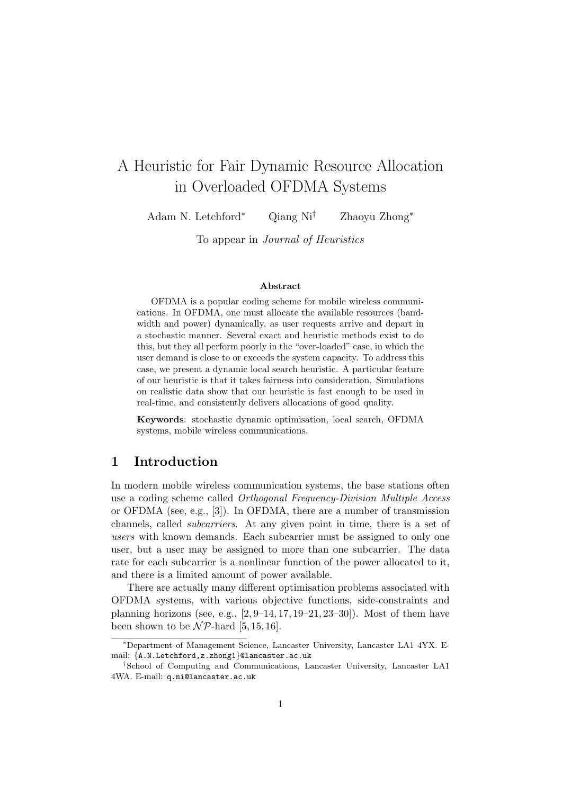# A Heuristic for Fair Dynamic Resource Allocation in Overloaded OFDMA Systems

Adam N. Letchford<sup>∗</sup> Qiang Ni† Zhaoyu Zhong<sup>∗</sup>

To appear in Journal of Heuristics

#### Abstract

OFDMA is a popular coding scheme for mobile wireless communications. In OFDMA, one must allocate the available resources (bandwidth and power) dynamically, as user requests arrive and depart in a stochastic manner. Several exact and heuristic methods exist to do this, but they all perform poorly in the "over-loaded" case, in which the user demand is close to or exceeds the system capacity. To address this case, we present a dynamic local search heuristic. A particular feature of our heuristic is that it takes fairness into consideration. Simulations on realistic data show that our heuristic is fast enough to be used in real-time, and consistently delivers allocations of good quality.

Keywords: stochastic dynamic optimisation, local search, OFDMA systems, mobile wireless communications.

# 1 Introduction

In modern mobile wireless communication systems, the base stations often use a coding scheme called Orthogonal Frequency-Division Multiple Access or OFDMA (see, e.g., [3]). In OFDMA, there are a number of transmission channels, called subcarriers. At any given point in time, there is a set of users with known demands. Each subcarrier must be assigned to only one user, but a user may be assigned to more than one subcarrier. The data rate for each subcarrier is a nonlinear function of the power allocated to it, and there is a limited amount of power available.

There are actually many different optimisation problems associated with OFDMA systems, with various objective functions, side-constraints and planning horizons (see, e.g.,  $[2, 9-14, 17, 19-21, 23-30]$ ). Most of them have been shown to be  $N\mathcal{P}$ -hard [5, 15, 16].

<sup>∗</sup>Department of Management Science, Lancaster University, Lancaster LA1 4YX. Email: {A.N.Letchford,z.zhong1}@lancaster.ac.uk

<sup>†</sup>School of Computing and Communications, Lancaster University, Lancaster LA1 4WA. E-mail: q.ni@lancaster.ac.uk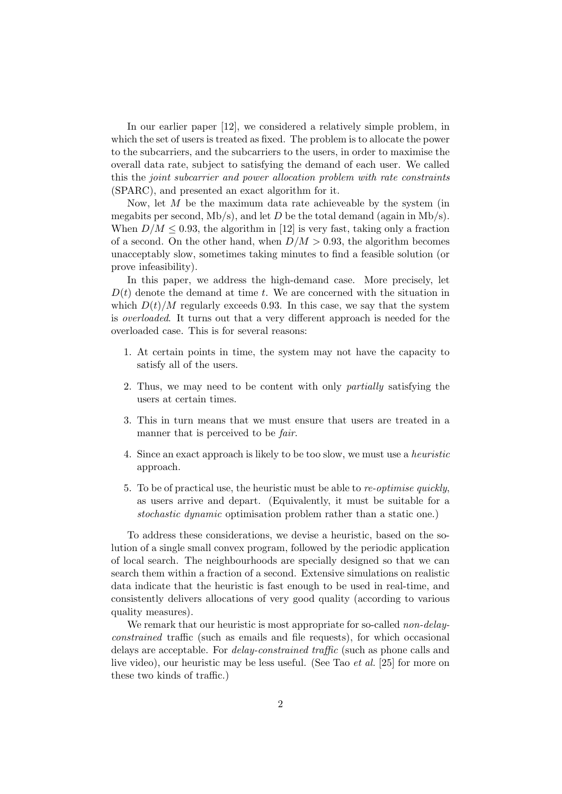In our earlier paper [12], we considered a relatively simple problem, in which the set of users is treated as fixed. The problem is to allocate the power to the subcarriers, and the subcarriers to the users, in order to maximise the overall data rate, subject to satisfying the demand of each user. We called this the joint subcarrier and power allocation problem with rate constraints (SPARC), and presented an exact algorithm for it.

Now, let  $M$  be the maximum data rate achieveable by the system (in megabits per second,  $Mb/s)$ , and let D be the total demand (again in  $Mb/s)$ . When  $D/M \leq 0.93$ , the algorithm in [12] is very fast, taking only a fraction of a second. On the other hand, when  $D/M > 0.93$ , the algorithm becomes unacceptably slow, sometimes taking minutes to find a feasible solution (or prove infeasibility).

In this paper, we address the high-demand case. More precisely, let  $D(t)$  denote the demand at time t. We are concerned with the situation in which  $D(t)/M$  regularly exceeds 0.93. In this case, we say that the system is overloaded. It turns out that a very different approach is needed for the overloaded case. This is for several reasons:

- 1. At certain points in time, the system may not have the capacity to satisfy all of the users.
- 2. Thus, we may need to be content with only partially satisfying the users at certain times.
- 3. This in turn means that we must ensure that users are treated in a manner that is perceived to be *fair*.
- 4. Since an exact approach is likely to be too slow, we must use a heuristic approach.
- 5. To be of practical use, the heuristic must be able to re-optimise quickly, as users arrive and depart. (Equivalently, it must be suitable for a stochastic dynamic optimisation problem rather than a static one.)

To address these considerations, we devise a heuristic, based on the solution of a single small convex program, followed by the periodic application of local search. The neighbourhoods are specially designed so that we can search them within a fraction of a second. Extensive simulations on realistic data indicate that the heuristic is fast enough to be used in real-time, and consistently delivers allocations of very good quality (according to various quality measures).

We remark that our heuristic is most appropriate for so-called *non-delay*constrained traffic (such as emails and file requests), for which occasional delays are acceptable. For delay-constrained traffic (such as phone calls and live video), our heuristic may be less useful. (See Tao et al. [25] for more on these two kinds of traffic.)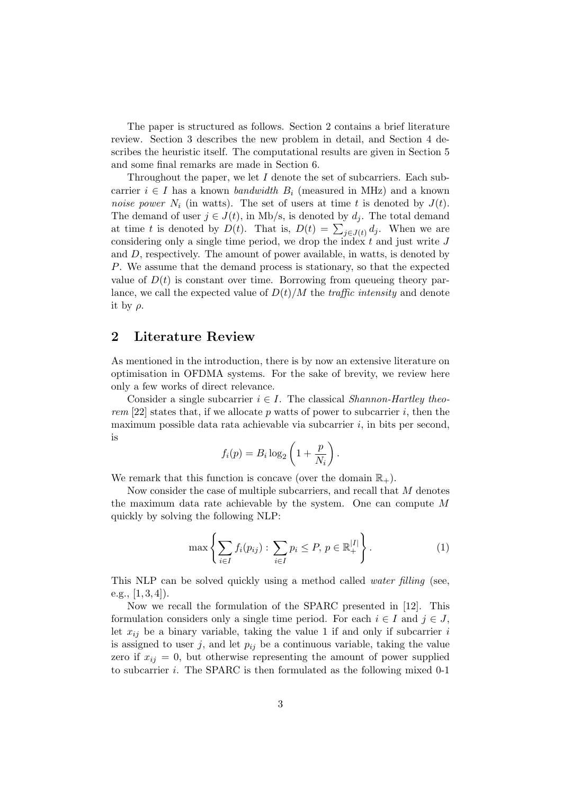The paper is structured as follows. Section 2 contains a brief literature review. Section 3 describes the new problem in detail, and Section 4 describes the heuristic itself. The computational results are given in Section 5 and some final remarks are made in Section 6.

Throughout the paper, we let  $I$  denote the set of subcarriers. Each subcarrier  $i \in I$  has a known bandwidth  $B_i$  (measured in MHz) and a known noise power  $N_i$  (in watts). The set of users at time t is denoted by  $J(t)$ . The demand of user  $j \in J(t)$ , in Mb/s, is denoted by  $d_i$ . The total demand at time t is denoted by  $D(t)$ . That is,  $D(t) = \sum_{j \in J(t)} d_j$ . When we are considering only a single time period, we drop the index  $t$  and just write  $J$ and  $D$ , respectively. The amount of power available, in watts, is denoted by P. We assume that the demand process is stationary, so that the expected value of  $D(t)$  is constant over time. Borrowing from queueing theory parlance, we call the expected value of  $D(t)/M$  the *traffic intensity* and denote it by  $\rho$ .

### 2 Literature Review

As mentioned in the introduction, there is by now an extensive literature on optimisation in OFDMA systems. For the sake of brevity, we review here only a few works of direct relevance.

Consider a single subcarrier  $i \in I$ . The classical *Shannon-Hartley theo*rem [22] states that, if we allocate p watts of power to subcarrier i, then the maximum possible data rata achievable via subcarrier  $i$ , in bits per second, is

$$
f_i(p) = B_i \log_2 \left( 1 + \frac{p}{N_i} \right).
$$

We remark that this function is concave (over the domain  $\mathbb{R}_+$ ).

Now consider the case of multiple subcarriers, and recall that M denotes the maximum data rate achievable by the system. One can compute M quickly by solving the following NLP:

$$
\max\left\{\sum_{i\in I} f_i(p_{ij}) : \sum_{i\in I} p_i \le P, \ p \in \mathbb{R}_+^{|I|}\right\}.
$$
 (1)

This NLP can be solved quickly using a method called *water filling* (see, e.g.,  $[1, 3, 4]$ .

Now we recall the formulation of the SPARC presented in [12]. This formulation considers only a single time period. For each  $i \in I$  and  $j \in J$ , let  $x_{ij}$  be a binary variable, taking the value 1 if and only if subcarrier i is assigned to user j, and let  $p_{ij}$  be a continuous variable, taking the value zero if  $x_{ij} = 0$ , but otherwise representing the amount of power supplied to subcarrier i. The SPARC is then formulated as the following mixed 0-1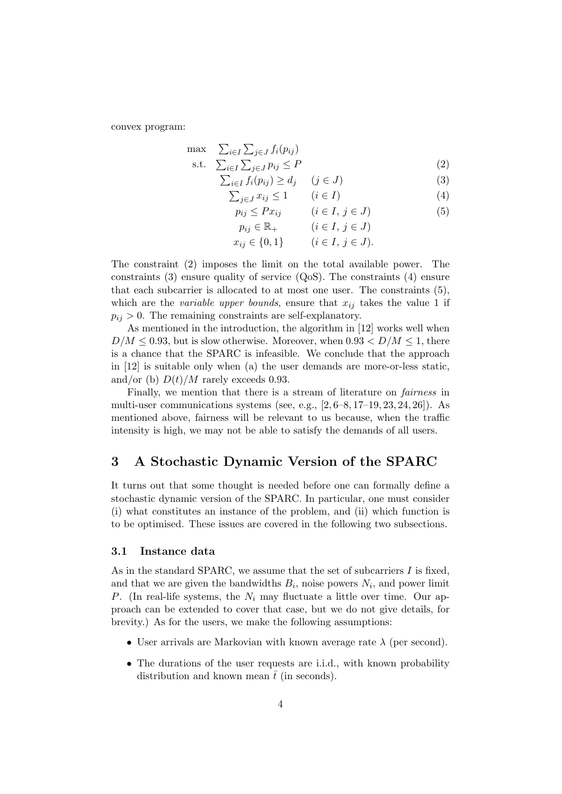convex program:

$$
\max \sum_{i \in I} \sum_{j \in J} f_i(p_{ij})
$$
\n
$$
\text{s.t.} \quad \sum_{i \in I} \sum_{j \in J} p_{ij} \le P \tag{2}
$$

$$
\sum_{i \in I} f_i(p_{ij}) \ge d_j \quad (j \in J)
$$
\n(3)

$$
\sum_{j \in J} x_{ij} \le 1 \qquad (i \in I) \tag{4}
$$

$$
p_{ij} \le Px_{ij} \qquad (i \in I, j \in J) \tag{5}
$$

$$
p_{ij} \in \mathbb{R} \qquad (i \in I, j \in J)
$$

$$
r_{ij} \in \mathbb{R}^+
$$
\n
$$
(i \in I, j \in J).
$$
\n
$$
x_{ij} \in \{0, 1\}
$$
\n
$$
(i \in I, j \in J).
$$

The constraint (2) imposes the limit on the total available power. The constraints (3) ensure quality of service  $(Q_0S)$ . The constraints (4) ensure that each subcarrier is allocated to at most one user. The constraints (5), which are the variable upper bounds, ensure that  $x_{ij}$  takes the value 1 if  $p_{ij} > 0$ . The remaining constraints are self-explanatory.

As mentioned in the introduction, the algorithm in [12] works well when  $D/M \leq 0.93$ , but is slow otherwise. Moreover, when  $0.93 \leq D/M \leq 1$ , there is a chance that the SPARC is infeasible. We conclude that the approach in [12] is suitable only when (a) the user demands are more-or-less static, and/or (b)  $D(t)/M$  rarely exceeds 0.93.

Finally, we mention that there is a stream of literature on *fairness* in multi-user communications systems (see, e.g.,  $[2, 6-8, 17-19, 23, 24, 26]$ ). As mentioned above, fairness will be relevant to us because, when the traffic intensity is high, we may not be able to satisfy the demands of all users.

# 3 A Stochastic Dynamic Version of the SPARC

It turns out that some thought is needed before one can formally define a stochastic dynamic version of the SPARC. In particular, one must consider (i) what constitutes an instance of the problem, and (ii) which function is to be optimised. These issues are covered in the following two subsections.

### 3.1 Instance data

As in the standard SPARC, we assume that the set of subcarriers  $I$  is fixed, and that we are given the bandwidths  $B_i$ , noise powers  $N_i$ , and power limit P. (In real-life systems, the  $N_i$  may fluctuate a little over time. Our approach can be extended to cover that case, but we do not give details, for brevity.) As for the users, we make the following assumptions:

- User arrivals are Markovian with known average rate  $\lambda$  (per second).
- The durations of the user requests are i.i.d., with known probability distribution and known mean  $\bar{t}$  (in seconds).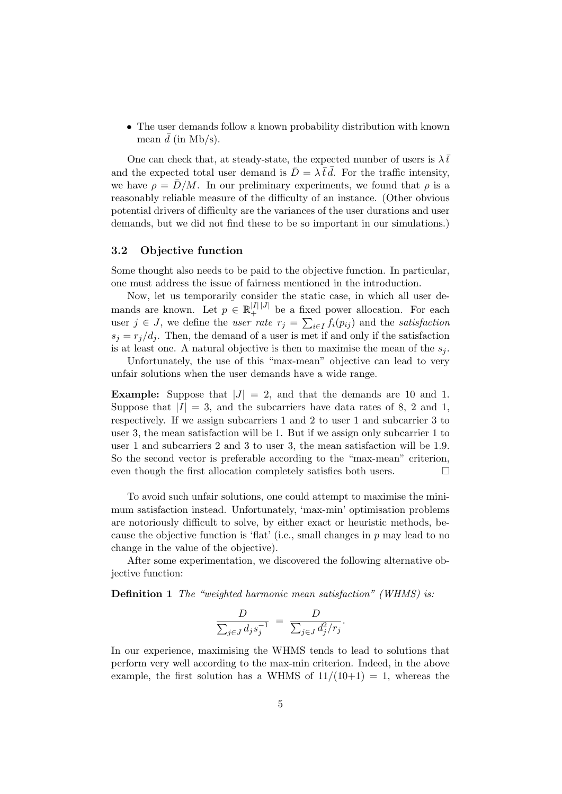• The user demands follow a known probability distribution with known mean  $\bar{d}$  (in Mb/s).

One can check that, at steady-state, the expected number of users is  $\lambda \bar{t}$ and the expected total user demand is  $\bar{D} = \lambda \bar{t} d$ . For the traffic intensity, we have  $\rho = \bar{D}/M$ . In our preliminary experiments, we found that  $\rho$  is a reasonably reliable measure of the difficulty of an instance. (Other obvious potential drivers of difficulty are the variances of the user durations and user demands, but we did not find these to be so important in our simulations.)

#### 3.2 Objective function

Some thought also needs to be paid to the objective function. In particular, one must address the issue of fairness mentioned in the introduction.

Now, let us temporarily consider the static case, in which all user demands are known. Let  $p \in \mathbb{R}^{|I| \times |J|}$  be a fixed power allocation. For each user  $j \in J$ , we define the user rate  $r_j = \sum_{i \in I} f_i(p_{ij})$  and the satisfaction  $s_i = r_i/d_i$ . Then, the demand of a user is met if and only if the satisfaction is at least one. A natural objective is then to maximise the mean of the  $s_i$ .

Unfortunately, the use of this "max-mean" objective can lead to very unfair solutions when the user demands have a wide range.

**Example:** Suppose that  $|J| = 2$ , and that the demands are 10 and 1. Suppose that  $|I| = 3$ , and the subcarriers have data rates of 8, 2 and 1, respectively. If we assign subcarriers 1 and 2 to user 1 and subcarrier 3 to user 3, the mean satisfaction will be 1. But if we assign only subcarrier 1 to user 1 and subcarriers 2 and 3 to user 3, the mean satisfaction will be 1.9. So the second vector is preferable according to the "max-mean" criterion, even though the first allocation completely satisfies both users.  $\hfill \square$ 

To avoid such unfair solutions, one could attempt to maximise the minimum satisfaction instead. Unfortunately, 'max-min' optimisation problems are notoriously difficult to solve, by either exact or heuristic methods, because the objective function is 'flat' (i.e., small changes in  $p$  may lead to no change in the value of the objective).

After some experimentation, we discovered the following alternative objective function:

Definition 1 The "weighted harmonic mean satisfaction" (WHMS) is:

$$
\frac{D}{\sum_{j\in J}d_js_j^{-1}} = \frac{D}{\sum_{j\in J}d_j^2/r_j}.
$$

In our experience, maximising the WHMS tends to lead to solutions that perform very well according to the max-min criterion. Indeed, in the above example, the first solution has a WHMS of  $11/(10+1) = 1$ , whereas the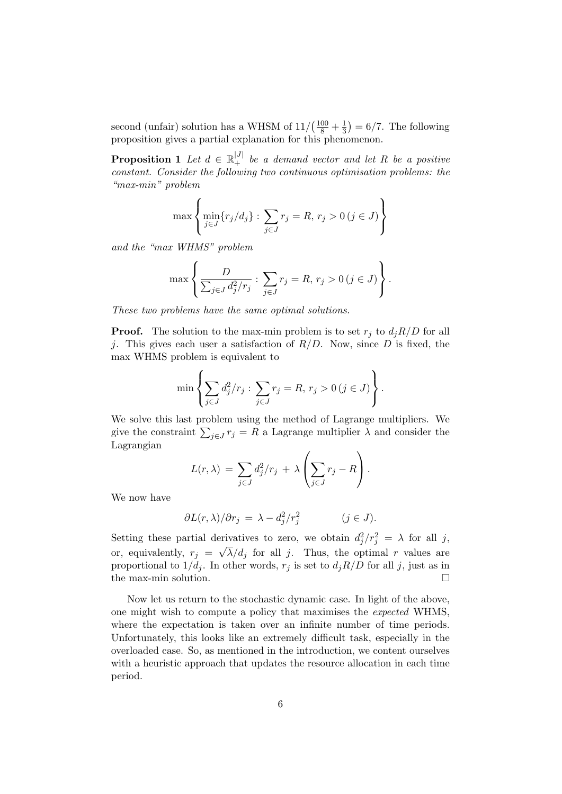second (unfair) solution has a WHSM of  $11/(\frac{100}{8} + \frac{1}{3})$  $(\frac{1}{3}) = 6/7$ . The following proposition gives a partial explanation for this phenomenon.

**Proposition 1** Let  $d \in \mathbb{R}^{|J|}_+$  be a demand vector and let R be a positive constant. Consider the following two continuous optimisation problems: the "max-min" problem

$$
\max \left\{ \min_{j \in J} \{ r_j / d_j \} : \sum_{j \in J} r_j = R, r_j > 0 \, (j \in J) \right\}
$$

and the "max WHMS" problem

$$
\max \left\{ \frac{D}{\sum_{j \in J} d_j^2 / r_j} : \sum_{j \in J} r_j = R, r_j > 0 \, (j \in J) \right\}.
$$

These two problems have the same optimal solutions.

**Proof.** The solution to the max-min problem is to set  $r_i$  to  $d_iR/D$  for all j. This gives each user a satisfaction of  $R/D$ . Now, since D is fixed, the max WHMS problem is equivalent to

$$
\min \left\{ \sum_{j \in J} d_j^2 / r_j : \sum_{j \in J} r_j = R, r_j > 0 \, (j \in J) \right\}.
$$

We solve this last problem using the method of Lagrange multipliers. We give the constraint  $\sum_{j\in J} r_j = R$  a Lagrange multiplier  $\lambda$  and consider the Lagrangian

$$
L(r,\lambda) = \sum_{j \in J} d_j^2 / r_j + \lambda \left( \sum_{j \in J} r_j - R \right).
$$

We now have

$$
\partial L(r,\lambda)/\partial r_j = \lambda - d_j^2/r_j^2 \qquad (j \in J).
$$

Setting these partial derivatives to zero, we obtain  $d_j^2/r_j^2 = \lambda$  for all j, or, equivalently,  $r_j = \sqrt{\lambda/d_j}$  for all j. Thus, the optimal r values are proportional to  $1/d_j$ . In other words,  $r_j$  is set to  $d_jR/D$  for all j, just as in the max-min solution.

Now let us return to the stochastic dynamic case. In light of the above, one might wish to compute a policy that maximises the expected WHMS, where the expectation is taken over an infinite number of time periods. Unfortunately, this looks like an extremely difficult task, especially in the overloaded case. So, as mentioned in the introduction, we content ourselves with a heuristic approach that updates the resource allocation in each time period.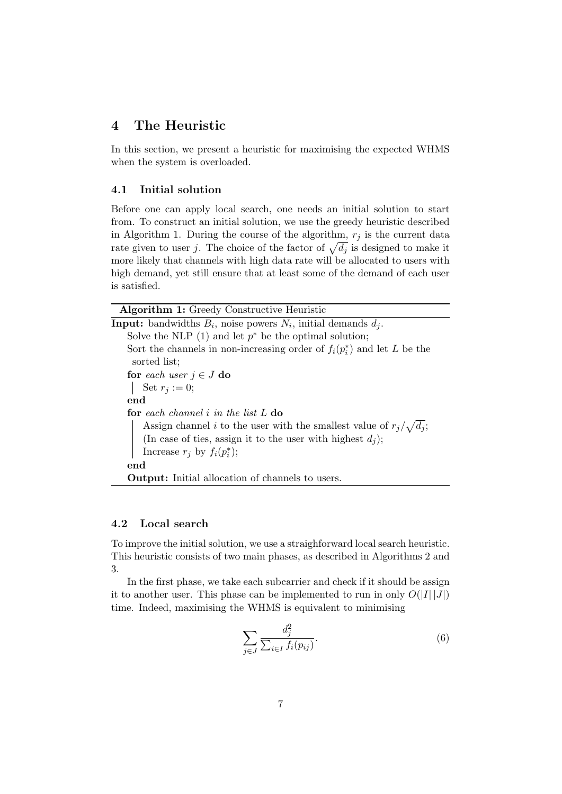# 4 The Heuristic

In this section, we present a heuristic for maximising the expected WHMS when the system is overloaded.

### 4.1 Initial solution

Before one can apply local search, one needs an initial solution to start from. To construct an initial solution, we use the greedy heuristic described in Algorithm 1. During the course of the algorithm,  $r_j$  is the current data rate given to user j. The choice of the factor of  $\sqrt{d_j}$  is designed to make it more likely that channels with high data rate will be allocated to users with high demand, yet still ensure that at least some of the demand of each user is satisfied.

| <b>Algorithm 1:</b> Greedy Constructive Heuristic                                 |
|-----------------------------------------------------------------------------------|
| <b>Input:</b> bandwidths $B_i$ , noise powers $N_i$ , initial demands $d_i$ .     |
| Solve the NLP (1) and let $p^*$ be the optimal solution;                          |
| Sort the channels in non-increasing order of $f_i(p_i^*)$ and let L be the        |
| sorted list;                                                                      |
| for each user $j \in J$ do                                                        |
| Set $r_i := 0$ ;                                                                  |
| end                                                                               |
| <b>for</b> each channel i in the list $L$ do                                      |
| Assign channel <i>i</i> to the user with the smallest value of $r_j/\sqrt{d_j}$ ; |
| (In case of ties, assign it to the user with highest $d_j$ );                     |
| Increase $r_i$ by $f_i(p_i^*)$ ;                                                  |
| end                                                                               |
| <b>Output:</b> Initial allocation of channels to users.                           |

### 4.2 Local search

To improve the initial solution, we use a straighforward local search heuristic. This heuristic consists of two main phases, as described in Algorithms 2 and 3.

In the first phase, we take each subcarrier and check if it should be assign it to another user. This phase can be implemented to run in only  $O(|I| |J|)$ time. Indeed, maximising the WHMS is equivalent to minimising

$$
\sum_{j\in J}\frac{d_j^2}{\sum_{i\in I}f_i(p_{ij})}.\tag{6}
$$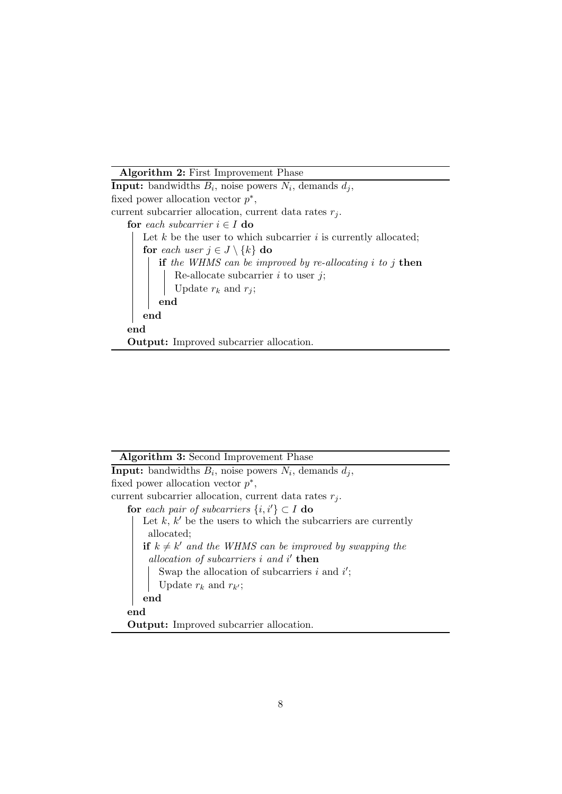Algorithm 2: First Improvement Phase

**Input:** bandwidths  $B_i$ , noise powers  $N_i$ , demands  $d_j$ , fixed power allocation vector  $p^*$ , current subcarrier allocation, current data rates  $r_i$ . for each subcarrier  $i \in I$  do Let  $k$  be the user to which subcarrier  $i$  is currently allocated; for each user  $j \in J \setminus \{k\}$  do if the WHMS can be improved by re-allocating  $i$  to  $j$  then Re-allocate subcarrier  $i$  to user  $j$ ; Update  $r_k$  and  $r_j$ ; end end end Output: Improved subcarrier allocation.

|  |  |  | Algorithm 3: Second Improvement Phase |  |
|--|--|--|---------------------------------------|--|
|--|--|--|---------------------------------------|--|

**Input:** bandwidths  $B_i$ , noise powers  $N_i$ , demands  $d_j$ , fixed power allocation vector  $p^*$ , current subcarrier allocation, current data rates  $r_j$ . for each pair of subcarriers  $\{i, i'\} \subset I$  do Let  $k, k'$  be the users to which the subcarriers are currently allocated; if  $k \neq k'$  and the WHMS can be improved by swapping the allocation of subcarriers  $i$  and  $i'$  then Swap the allocation of subcarriers i and  $i'$ ; Update  $r_k$  and  $r_{k'}$ ; end end Output: Improved subcarrier allocation.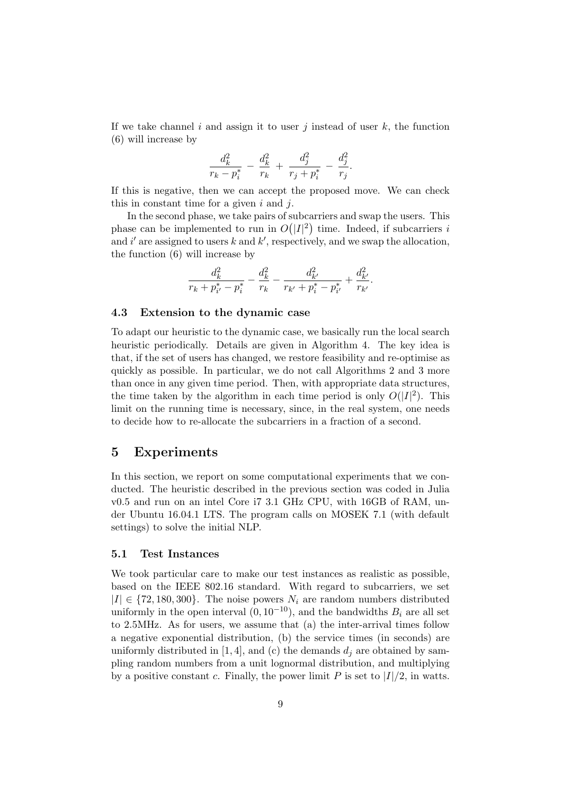If we take channel i and assign it to user j instead of user  $k$ , the function (6) will increase by

$$
\frac{d_k^2}{r_k - p_i^*} - \frac{d_k^2}{r_k} + \frac{d_j^2}{r_j + p_i^*} - \frac{d_j^2}{r_j}.
$$

If this is negative, then we can accept the proposed move. We can check this in constant time for a given  $i$  and  $j$ .

In the second phase, we take pairs of subcarriers and swap the users. This phase can be implemented to run in  $O(|I|^2)$  time. Indeed, if subcarriers i and i' are assigned to users k and  $k'$ , respectively, and we swap the allocation, the function (6) will increase by

$$
\frac{d_k^2}{r_k+p_{i'}^*-p_i^*}-\frac{d_k^2}{r_k}-\frac{d_{k'}^2}{r_{k'}+p_i^*-p_{i'}^*}+\frac{d_{k'}^2}{r_{k'}}.
$$

#### 4.3 Extension to the dynamic case

To adapt our heuristic to the dynamic case, we basically run the local search heuristic periodically. Details are given in Algorithm 4. The key idea is that, if the set of users has changed, we restore feasibility and re-optimise as quickly as possible. In particular, we do not call Algorithms 2 and 3 more than once in any given time period. Then, with appropriate data structures, the time taken by the algorithm in each time period is only  $O(|I|^2)$ . This limit on the running time is necessary, since, in the real system, one needs to decide how to re-allocate the subcarriers in a fraction of a second.

## 5 Experiments

In this section, we report on some computational experiments that we conducted. The heuristic described in the previous section was coded in Julia v0.5 and run on an intel Core i7 3.1 GHz CPU, with 16GB of RAM, under Ubuntu 16.04.1 LTS. The program calls on MOSEK 7.1 (with default settings) to solve the initial NLP.

### 5.1 Test Instances

We took particular care to make our test instances as realistic as possible, based on the IEEE 802.16 standard. With regard to subcarriers, we set  $|I| \in \{72, 180, 300\}$ . The noise powers  $N_i$  are random numbers distributed uniformly in the open interval  $(0, 10^{-10})$ , and the bandwidths  $B_i$  are all set to 2.5MHz. As for users, we assume that (a) the inter-arrival times follow a negative exponential distribution, (b) the service times (in seconds) are uniformly distributed in [1, 4], and (c) the demands  $d_i$  are obtained by sampling random numbers from a unit lognormal distribution, and multiplying by a positive constant c. Finally, the power limit P is set to  $|I|/2$ , in watts.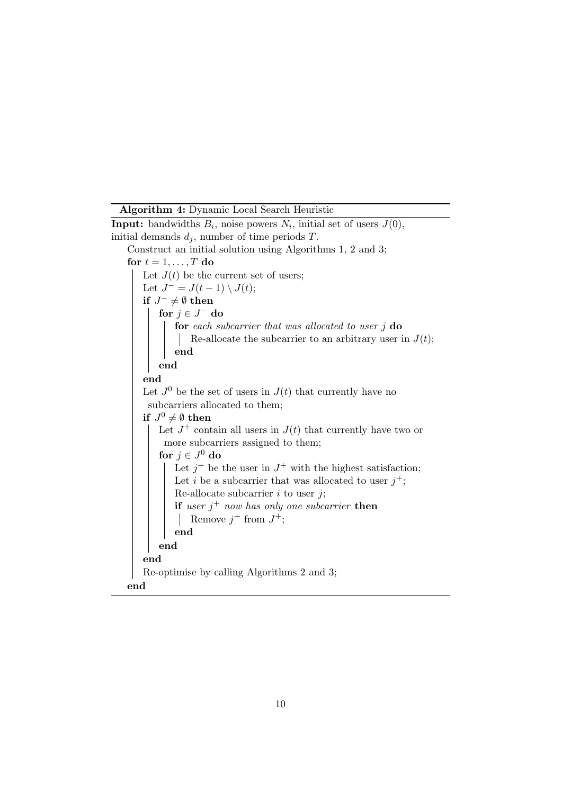Algorithm 4: Dynamic Local Search Heuristic

**Input:** bandwidths  $B_i$ , noise powers  $N_i$ , initial set of users  $J(0)$ , initial demands  $d_i$ , number of time periods T. Construct an initial solution using Algorithms 1, 2 and 3; for  $t = 1, \ldots, T$  do Let  $J(t)$  be the current set of users; Let  $J^- = J(t-1) \setminus J(t);$ if  $J^- \neq \emptyset$  then for  $j \in J^-$  do for each subcarrier that was allocated to user  $j$  do Re-allocate the subcarrier to an arbitrary user in  $J(t)$ ; end end end Let  $J^0$  be the set of users in  $J(t)$  that currently have no subcarriers allocated to them; if  $J^0\neq\emptyset$  then Let  $J^+$  contain all users in  $J(t)$  that currently have two or more subcarriers assigned to them; for  $j\in J^0$  do Let  $j^+$  be the user in  $J^+$  with the highest satisfaction; Let i be a subcarrier that was allocated to user  $j^+$ ; Re-allocate subcarrier  $i$  to user  $j$ ; if user  $j^+$  now has only one subcarrier then Remove  $j^+$  from  $J^+$ ; end end end Re-optimise by calling Algorithms 2 and 3; end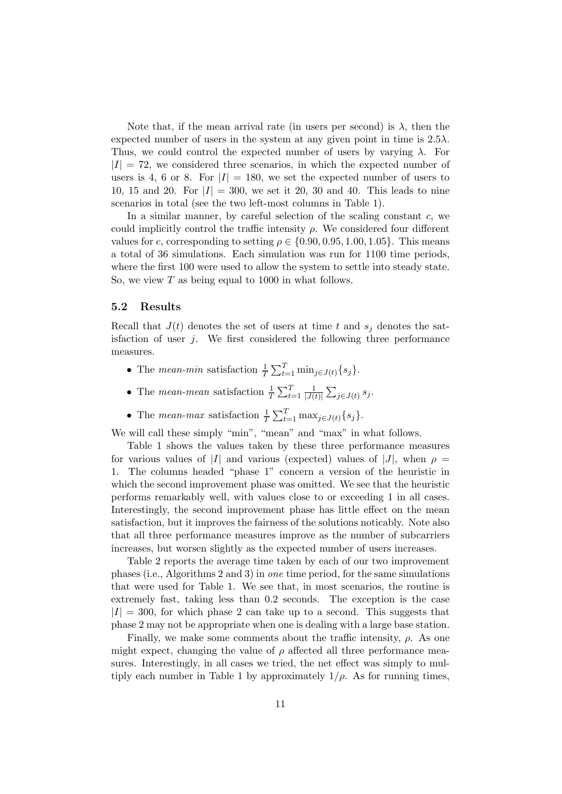Note that, if the mean arrival rate (in users per second) is  $\lambda$ , then the expected number of users in the system at any given point in time is  $2.5\lambda$ . Thus, we could control the expected number of users by varying  $\lambda$ . For  $|I| = 72$ , we considered three scenarios, in which the expected number of users is 4, 6 or 8. For  $|I| = 180$ , we set the expected number of users to 10, 15 and 20. For  $|I| = 300$ , we set it 20, 30 and 40. This leads to nine scenarios in total (see the two left-most columns in Table 1).

In a similar manner, by careful selection of the scaling constant  $c$ , we could implicitly control the traffic intensity  $\rho$ . We considered four different values for c, corresponding to setting  $\rho \in \{0.90, 0.95, 1.00, 1.05\}$ . This means a total of 36 simulations. Each simulation was run for 1100 time periods, where the first 100 were used to allow the system to settle into steady state. So, we view  $T$  as being equal to 1000 in what follows.

### 5.2 Results

Recall that  $J(t)$  denotes the set of users at time t and  $s_i$  denotes the satisfaction of user  $j$ . We first considered the following three performance measures.

- The *mean-min* satisfaction  $\frac{1}{T} \sum_{t=1}^{T} \min_{j \in J(t)} \{s_j\}.$
- The *mean-mean* satisfaction  $\frac{1}{T} \sum_{t=1}^{T} \frac{1}{|J(t)|}$  $\frac{1}{|J(t)|}\sum_{j\in J(t)}s_j.$
- The *mean-max* satisfaction  $\frac{1}{T} \sum_{t=1}^{T} \max_{j \in J(t)} \{s_j\}.$

We will call these simply "min", "mean" and "max" in what follows.

Table 1 shows the values taken by these three performance measures for various values of |I| and various (expected) values of |J|, when  $\rho =$ 1. The columns headed "phase 1" concern a version of the heuristic in which the second improvement phase was omitted. We see that the heuristic performs remarkably well, with values close to or exceeding 1 in all cases. Interestingly, the second improvement phase has little effect on the mean satisfaction, but it improves the fairness of the solutions noticably. Note also that all three performance measures improve as the number of subcarriers increases, but worsen slightly as the expected number of users increases.

Table 2 reports the average time taken by each of our two improvement phases (i.e., Algorithms 2 and 3) in one time period, for the same simulations that were used for Table 1. We see that, in most scenarios, the routine is extremely fast, taking less than 0.2 seconds. The exception is the case  $|I| = 300$ , for which phase 2 can take up to a second. This suggests that phase 2 may not be appropriate when one is dealing with a large base station.

Finally, we make some comments about the traffic intensity,  $\rho$ . As one might expect, changing the value of  $\rho$  affected all three performance measures. Interestingly, in all cases we tried, the net effect was simply to multiply each number in Table 1 by approximately  $1/\rho$ . As for running times,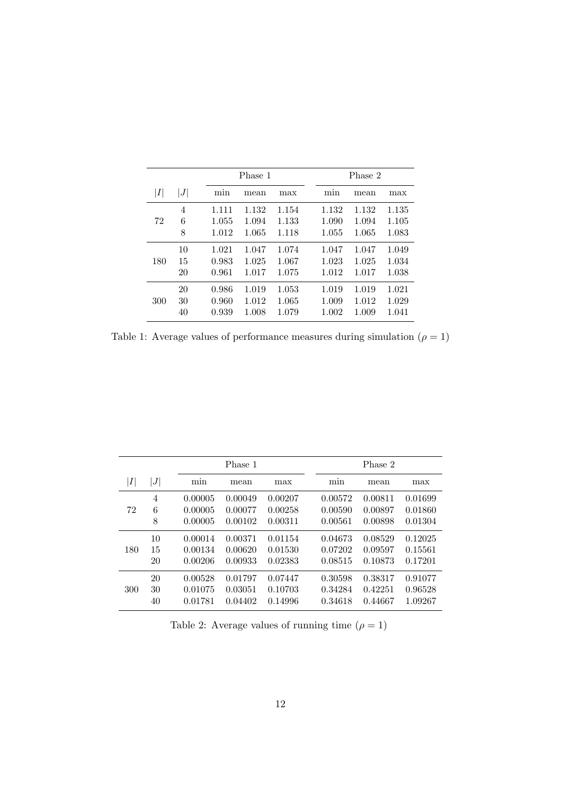|     |                | Phase 1                 |                         |                         | Phase 2                 |                         |                         |
|-----|----------------|-------------------------|-------------------------|-------------------------|-------------------------|-------------------------|-------------------------|
| I   | J              | min                     | mean                    | max                     | mın                     | mean                    | max                     |
| 72  | 4<br>6<br>8    | 1.111<br>1.055<br>1.012 | 1.132<br>1.094<br>1.065 | 1.154<br>1.133<br>1.118 | 1.132<br>1.090<br>1.055 | 1.132<br>1.094<br>1.065 | 1.135<br>1.105<br>1.083 |
| 180 | 10<br>15<br>20 | 1.021<br>0.983<br>0.961 | 1.047<br>1.025<br>1.017 | 1.074<br>1.067<br>1.075 | 1.047<br>1.023<br>1.012 | 1.047<br>1.025<br>1.017 | 1.049<br>1.034<br>1.038 |
| 300 | 20<br>30<br>40 | 0.986<br>0.960<br>0.939 | 1.019<br>1.012<br>1.008 | 1.053<br>1.065<br>1.079 | 1.019<br>1.009<br>1.002 | 1.019<br>1.012<br>1.009 | 1.021<br>1.029<br>1.041 |

Table 1: Average values of performance measures during simulation  $(\rho=1)$ 

|                 |                  | Phase 1 |         |         |  | Phase 2 |         |         |  |
|-----------------|------------------|---------|---------|---------|--|---------|---------|---------|--|
| $\vert I \vert$ | $\boldsymbol{J}$ | min     | mean    | max     |  | min     | mean    | max     |  |
|                 | 4                | 0.00005 | 0.00049 | 0.00207 |  | 0.00572 | 0.00811 | 0.01699 |  |
| 72              | 6                | 0.00005 | 0.00077 | 0.00258 |  | 0.00590 | 0.00897 | 0.01860 |  |
|                 | 8                | 0.00005 | 0.00102 | 0.00311 |  | 0.00561 | 0.00898 | 0.01304 |  |
|                 | 10               | 0.00014 | 0.00371 | 0.01154 |  | 0.04673 | 0.08529 | 0.12025 |  |
| 180             | 15               | 0.00134 | 0.00620 | 0.01530 |  | 0.07202 | 0.09597 | 0.15561 |  |
|                 | 20               | 0.00206 | 0.00933 | 0.02383 |  | 0.08515 | 0.10873 | 0.17201 |  |
|                 | 20               | 0.00528 | 0.01797 | 0.07447 |  | 0.30598 | 0.38317 | 0.91077 |  |
| 300             | 30               | 0.01075 | 0.03051 | 0.10703 |  | 0.34284 | 0.42251 | 0.96528 |  |
|                 | 40               | 0.01781 | 0.04402 | 0.14996 |  | 0.34618 | 0.44667 | 1.09267 |  |

Table 2: Average values of running time  $(\rho=1)$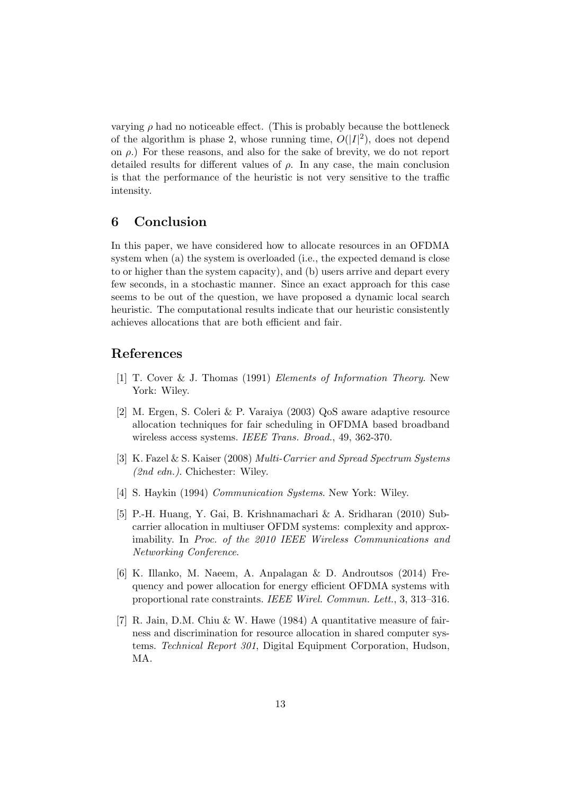varying  $\rho$  had no noticeable effect. (This is probably because the bottleneck of the algorithm is phase 2, whose running time,  $O(|I|^2)$ , does not depend on  $\rho$ .) For these reasons, and also for the sake of brevity, we do not report detailed results for different values of  $\rho$ . In any case, the main conclusion is that the performance of the heuristic is not very sensitive to the traffic intensity.

# 6 Conclusion

In this paper, we have considered how to allocate resources in an OFDMA system when (a) the system is overloaded (i.e., the expected demand is close to or higher than the system capacity), and (b) users arrive and depart every few seconds, in a stochastic manner. Since an exact approach for this case seems to be out of the question, we have proposed a dynamic local search heuristic. The computational results indicate that our heuristic consistently achieves allocations that are both efficient and fair.

### References

- [1] T. Cover & J. Thomas (1991) Elements of Information Theory. New York: Wilev.
- [2] M. Ergen, S. Coleri & P. Varaiya (2003) QoS aware adaptive resource allocation techniques for fair scheduling in OFDMA based broadband wireless access systems. IEEE Trans. Broad., 49, 362-370.
- [3] K. Fazel & S. Kaiser (2008) Multi-Carrier and Spread Spectrum Systems (2nd edn.). Chichester: Wiley.
- [4] S. Haykin (1994) Communication Systems. New York: Wiley.
- [5] P.-H. Huang, Y. Gai, B. Krishnamachari & A. Sridharan (2010) Subcarrier allocation in multiuser OFDM systems: complexity and approximability. In Proc. of the 2010 IEEE Wireless Communications and Networking Conference.
- [6] K. Illanko, M. Naeem, A. Anpalagan & D. Androutsos (2014) Frequency and power allocation for energy efficient OFDMA systems with proportional rate constraints. IEEE Wirel. Commun. Lett., 3, 313–316.
- [7] R. Jain, D.M. Chiu & W. Hawe (1984) A quantitative measure of fairness and discrimination for resource allocation in shared computer systems. Technical Report 301, Digital Equipment Corporation, Hudson, MA.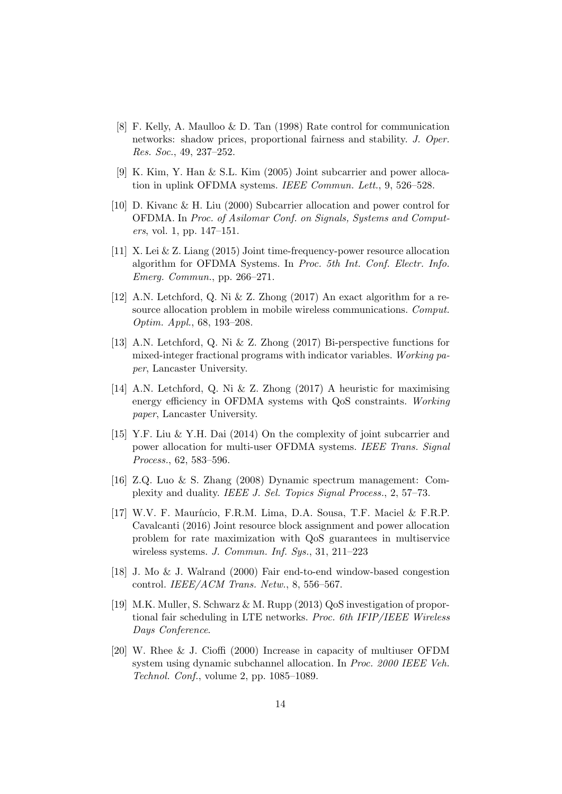- [8] F. Kelly, A. Maulloo & D. Tan (1998) Rate control for communication networks: shadow prices, proportional fairness and stability. J. Oper. Res. Soc., 49, 237–252.
- [9] K. Kim, Y. Han & S.L. Kim (2005) Joint subcarrier and power allocation in uplink OFDMA systems. IEEE Commun. Lett., 9, 526–528.
- [10] D. Kivanc & H. Liu (2000) Subcarrier allocation and power control for OFDMA. In Proc. of Asilomar Conf. on Signals, Systems and Computers, vol. 1, pp. 147–151.
- [11] X. Lei & Z. Liang (2015) Joint time-frequency-power resource allocation algorithm for OFDMA Systems. In Proc. 5th Int. Conf. Electr. Info. Emerg. Commun., pp. 266–271.
- [12] A.N. Letchford, Q. Ni & Z. Zhong (2017) An exact algorithm for a resource allocation problem in mobile wireless communications. Comput. Optim. Appl., 68, 193–208.
- [13] A.N. Letchford, Q. Ni & Z. Zhong (2017) Bi-perspective functions for mixed-integer fractional programs with indicator variables. Working paper, Lancaster University.
- [14] A.N. Letchford, Q. Ni & Z. Zhong (2017) A heuristic for maximising energy efficiency in OFDMA systems with QoS constraints. Working paper, Lancaster University.
- [15] Y.F. Liu & Y.H. Dai (2014) On the complexity of joint subcarrier and power allocation for multi-user OFDMA systems. IEEE Trans. Signal Process., 62, 583–596.
- [16] Z.Q. Luo & S. Zhang (2008) Dynamic spectrum management: Complexity and duality. IEEE J. Sel. Topics Signal Process., 2, 57–73.
- [17] W.V. F. Mauríicio, F.R.M. Lima, D.A. Sousa, T.F. Maciel & F.R.P. Cavalcanti (2016) Joint resource block assignment and power allocation problem for rate maximization with QoS guarantees in multiservice wireless systems. J. Commun. Inf. Sys., 31, 211–223
- [18] J. Mo & J. Walrand (2000) Fair end-to-end window-based congestion control. IEEE/ACM Trans. Netw., 8, 556–567.
- [19] M.K. Muller, S. Schwarz & M. Rupp (2013) QoS investigation of proportional fair scheduling in LTE networks. Proc. 6th IFIP/IEEE Wireless Days Conference.
- [20] W. Rhee & J. Cioffi (2000) Increase in capacity of multiuser OFDM system using dynamic subchannel allocation. In Proc. 2000 IEEE Veh. Technol. Conf., volume 2, pp. 1085–1089.